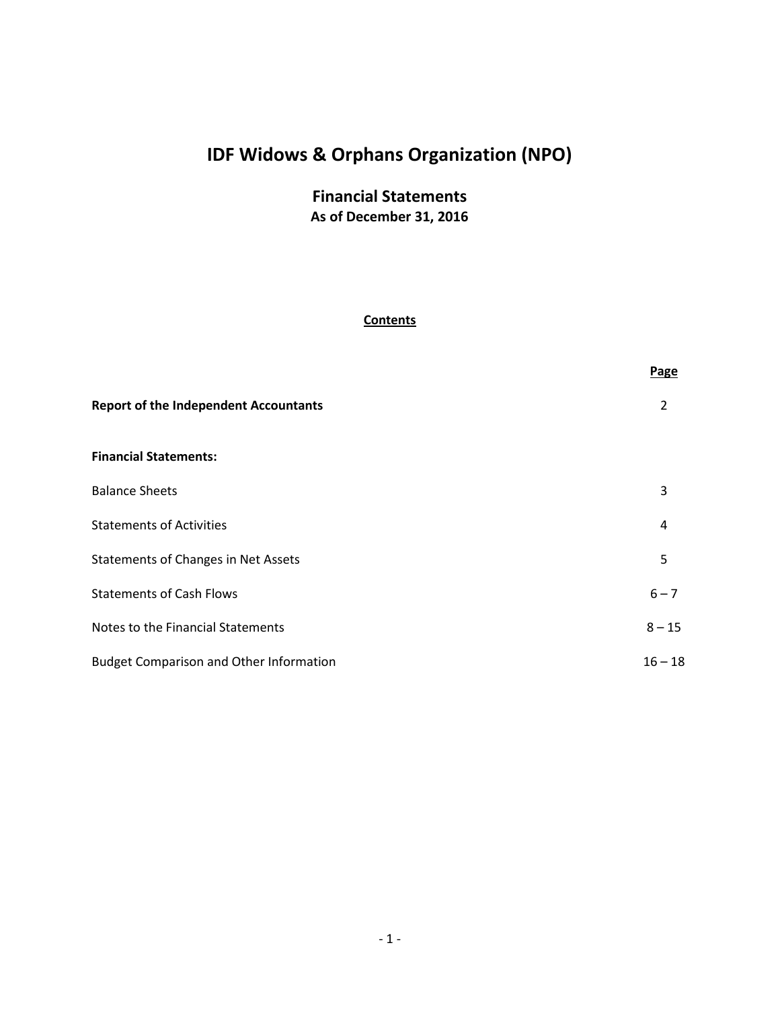# **Financial Statements As of December 31, 2016**

### **Contents**

|                                                | Page      |
|------------------------------------------------|-----------|
| <b>Report of the Independent Accountants</b>   | 2         |
| <b>Financial Statements:</b>                   |           |
| <b>Balance Sheets</b>                          | 3         |
| <b>Statements of Activities</b>                | 4         |
| <b>Statements of Changes in Net Assets</b>     | 5         |
| <b>Statements of Cash Flows</b>                | $6 - 7$   |
| Notes to the Financial Statements              | $8 - 15$  |
| <b>Budget Comparison and Other Information</b> | $16 - 18$ |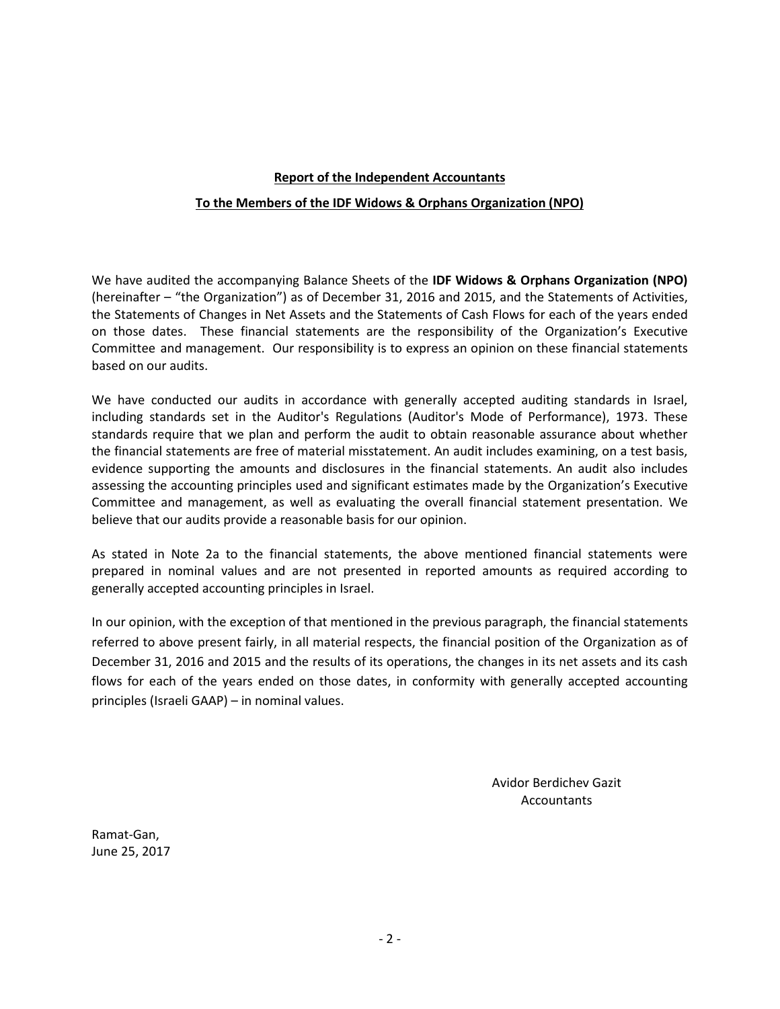# **Report of the Independent Accountants To the Members of the IDF Widows & Orphans Organization (NPO)**

We have audited the accompanying Balance Sheets of the **IDF Widows & Orphans Organization (NPO)** (hereinafter – "the Organization") as of December 31, 2016 and 2015, and the Statements of Activities, the Statements of Changes in Net Assets and the Statements of Cash Flows for each of the years ended on those dates. These financial statements are the responsibility of the Organization's Executive Committee and management. Our responsibility is to express an opinion on these financial statements based on our audits.

We have conducted our audits in accordance with generally accepted auditing standards in Israel, including standards set in the Auditor's Regulations (Auditor's Mode of Performance), 1973. These standards require that we plan and perform the audit to obtain reasonable assurance about whether the financial statements are free of material misstatement. An audit includes examining, on a test basis, evidence supporting the amounts and disclosures in the financial statements. An audit also includes assessing the accounting principles used and significant estimates made by the Organization's Executive Committee and management, as well as evaluating the overall financial statement presentation. We believe that our audits provide a reasonable basis for our opinion.

As stated in Note 2a to the financial statements, the above mentioned financial statements were prepared in nominal values and are not presented in reported amounts as required according to generally accepted accounting principles in Israel.

In our opinion, with the exception of that mentioned in the previous paragraph, the financial statements referred to above present fairly, in all material respects, the financial position of the Organization as of December 31, 2016 and 2015 and the results of its operations, the changes in its net assets and its cash flows for each of the years ended on those dates, in conformity with generally accepted accounting principles (Israeli GAAP) – in nominal values.

> Avidor Berdichev Gazit Accountants

Ramat-Gan, June 25, 2017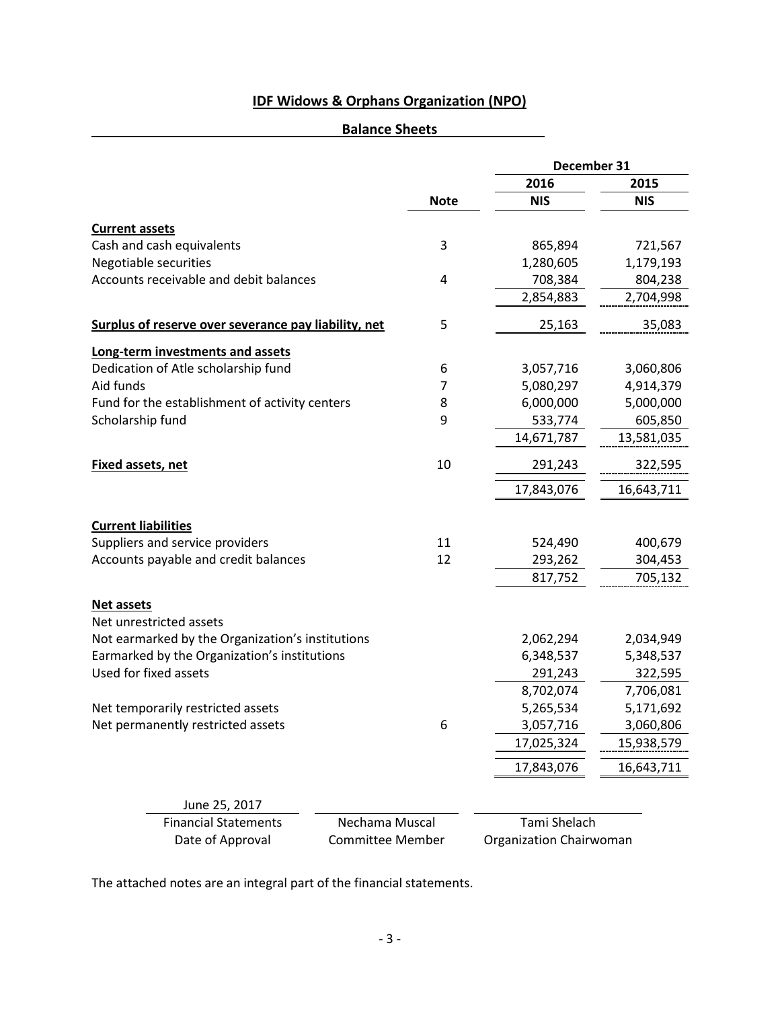# **Balance Sheets**

|                                                      |                         | December 31             |            |
|------------------------------------------------------|-------------------------|-------------------------|------------|
|                                                      |                         | 2016                    | 2015       |
|                                                      | <b>Note</b>             | <b>NIS</b>              | <b>NIS</b> |
| <b>Current assets</b>                                |                         |                         |            |
| Cash and cash equivalents                            | 3                       | 865,894                 | 721,567    |
| Negotiable securities                                |                         | 1,280,605               | 1,179,193  |
| Accounts receivable and debit balances               | 4                       | 708,384                 | 804,238    |
|                                                      |                         | 2,854,883               | 2,704,998  |
| Surplus of reserve over severance pay liability, net | 5                       | 25,163                  | 35,083     |
| Long-term investments and assets                     |                         |                         |            |
| Dedication of Atle scholarship fund                  | 6                       | 3,057,716               | 3,060,806  |
| Aid funds                                            | 7                       | 5,080,297               | 4,914,379  |
| Fund for the establishment of activity centers       | 8                       | 6,000,000               | 5,000,000  |
| Scholarship fund                                     | 9                       | 533,774                 | 605,850    |
|                                                      |                         | 14,671,787              | 13,581,035 |
| <b>Fixed assets, net</b>                             | 10                      | 291,243                 | 322,595    |
|                                                      |                         | 17,843,076              | 16,643,711 |
| <b>Current liabilities</b>                           |                         |                         |            |
| Suppliers and service providers                      | 11                      | 524,490                 | 400,679    |
| Accounts payable and credit balances                 | 12                      | 293,262                 | 304,453    |
|                                                      |                         | 817,752                 | 705,132    |
| <b>Net assets</b>                                    |                         |                         |            |
| Net unrestricted assets                              |                         |                         |            |
| Not earmarked by the Organization's institutions     |                         | 2,062,294               | 2,034,949  |
| Earmarked by the Organization's institutions         |                         | 6,348,537               | 5,348,537  |
| Used for fixed assets                                |                         | 291,243                 | 322,595    |
|                                                      |                         | 8,702,074               | 7,706,081  |
| Net temporarily restricted assets                    |                         | 5,265,534               | 5,171,692  |
| Net permanently restricted assets                    | 6                       | 3,057,716               | 3,060,806  |
|                                                      |                         | 17,025,324              | 15,938,579 |
|                                                      |                         | 17,843,076              | 16,643,711 |
| June 25, 2017                                        |                         |                         |            |
| <b>Financial Statements</b>                          | Nechama Muscal          | Tami Shelach            |            |
| Date of Approval                                     | <b>Committee Member</b> | Organization Chairwoman |            |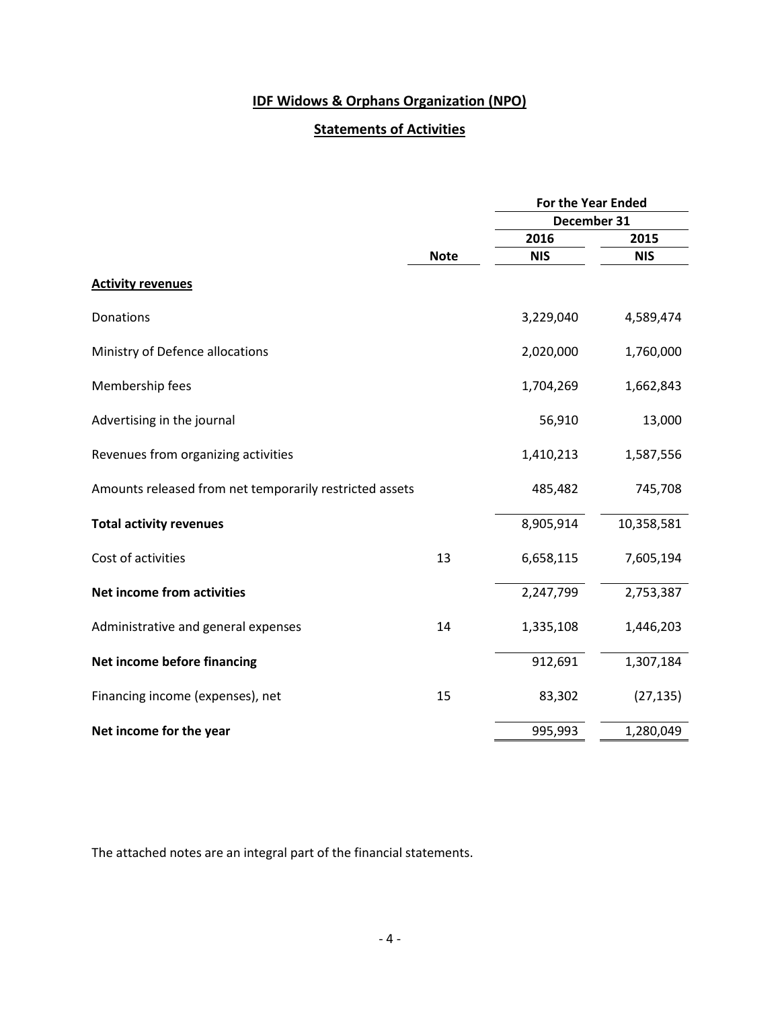# **Statements of Activities**

|                                                         |             |             | <b>For the Year Ended</b> |  |  |
|---------------------------------------------------------|-------------|-------------|---------------------------|--|--|
|                                                         |             | December 31 |                           |  |  |
|                                                         |             | 2016        | 2015                      |  |  |
|                                                         | <b>Note</b> | <b>NIS</b>  | <b>NIS</b>                |  |  |
| <b>Activity revenues</b>                                |             |             |                           |  |  |
| Donations                                               |             | 3,229,040   | 4,589,474                 |  |  |
| Ministry of Defence allocations                         |             | 2,020,000   | 1,760,000                 |  |  |
| Membership fees                                         |             | 1,704,269   | 1,662,843                 |  |  |
| Advertising in the journal                              |             | 56,910      | 13,000                    |  |  |
| Revenues from organizing activities                     |             | 1,410,213   | 1,587,556                 |  |  |
| Amounts released from net temporarily restricted assets |             | 485,482     | 745,708                   |  |  |
| <b>Total activity revenues</b>                          |             | 8,905,914   | 10,358,581                |  |  |
| Cost of activities                                      | 13          | 6,658,115   | 7,605,194                 |  |  |
| Net income from activities                              |             | 2,247,799   | 2,753,387                 |  |  |
| Administrative and general expenses                     | 14          | 1,335,108   | 1,446,203                 |  |  |
| Net income before financing                             |             | 912,691     | 1,307,184                 |  |  |
| Financing income (expenses), net                        | 15          | 83,302      | (27, 135)                 |  |  |
| Net income for the year                                 |             | 995,993     | 1,280,049                 |  |  |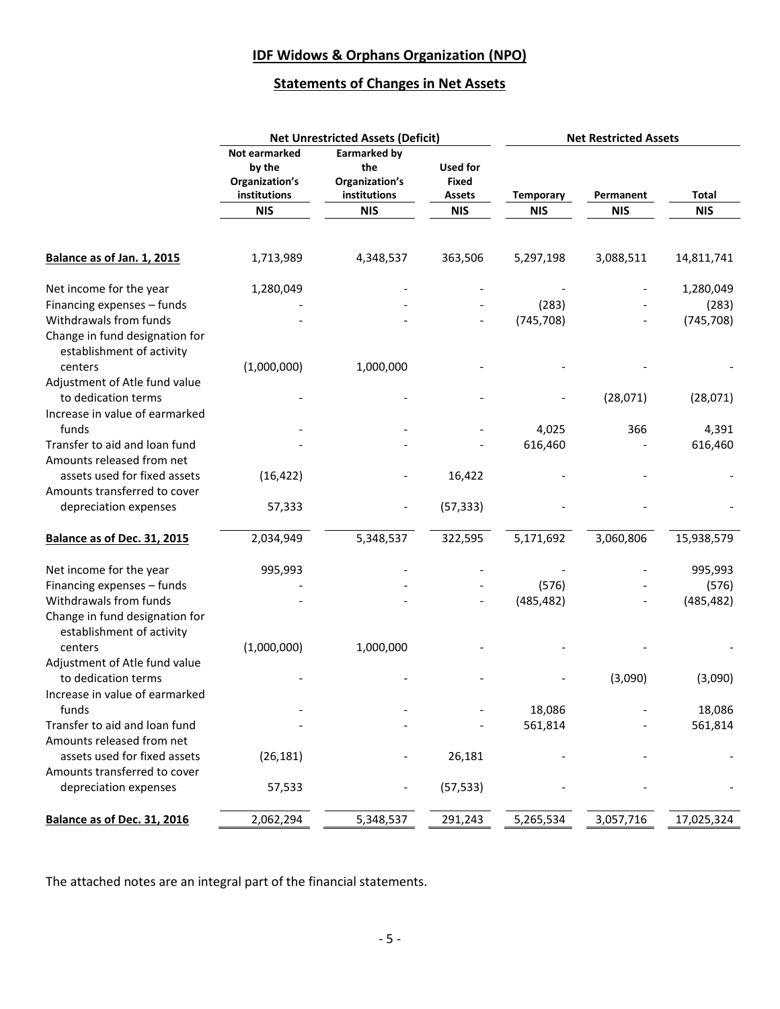# **Statements of Changes in Net Assets**

|                                                                                       |                                                           | <b>Net Unrestricted Assets (Deficit)</b>              |                                    | <b>Net Restricted Assets</b> |            |            |
|---------------------------------------------------------------------------------------|-----------------------------------------------------------|-------------------------------------------------------|------------------------------------|------------------------------|------------|------------|
|                                                                                       | Not earmarked<br>by the<br>Organization's<br>institutions | Earmarked by<br>the<br>Organization's<br>institutions | Used for<br><b>Fixed</b><br>Assets | <b>Temporary</b>             | Permanent  | Total      |
|                                                                                       | <b>NIS</b>                                                | <b>NIS</b>                                            | <b>NIS</b>                         | <b>NIS</b>                   | <b>NIS</b> | <b>NIS</b> |
| Balance as of Jan. 1, 2015                                                            | 1,713,989                                                 | 4,348,537                                             | 363,506                            | 5,297,198                    | 3,088,511  | 14,811,741 |
|                                                                                       |                                                           |                                                       |                                    |                              |            |            |
| Net income for the year                                                               | 1,280,049                                                 |                                                       |                                    |                              |            | 1,280,049  |
| Financing expenses - funds                                                            |                                                           |                                                       |                                    | (283)                        |            | (283)      |
| Withdrawals from funds<br>Change in fund designation for<br>establishment of activity |                                                           |                                                       |                                    | (745, 708)                   |            | (745, 708) |
| centers<br>Adjustment of Atle fund value                                              | (1,000,000)                                               | 1,000,000                                             |                                    |                              |            |            |
| to dedication terms<br>Increase in value of earmarked                                 |                                                           |                                                       |                                    |                              | (28,071)   | (28,071)   |
| funds                                                                                 |                                                           |                                                       |                                    | 4,025                        | 366        | 4,391      |
| Transfer to aid and loan fund                                                         |                                                           |                                                       |                                    | 616,460                      |            | 616,460    |
| Amounts released from net<br>assets used for fixed assets                             | (16, 422)                                                 |                                                       | 16,422                             |                              |            |            |
| Amounts transferred to cover                                                          |                                                           |                                                       |                                    |                              |            |            |
| depreciation expenses                                                                 | 57,333                                                    |                                                       | (57, 333)                          |                              |            |            |
| Balance as of Dec. 31, 2015                                                           | 2,034,949                                                 | 5,348,537                                             | 322,595                            | 5,171,692                    | 3,060,806  | 15,938,579 |
| Net income for the year                                                               | 995,993                                                   |                                                       |                                    |                              |            | 995,993    |
| Financing expenses - funds                                                            |                                                           |                                                       |                                    | (576)                        |            | (576)      |
| Withdrawals from funds                                                                |                                                           |                                                       |                                    | (485, 482)                   |            | (485, 482) |
| Change in fund designation for<br>establishment of activity                           |                                                           |                                                       |                                    |                              |            |            |
| centers<br>Adjustment of Atle fund value                                              | (1,000,000)                                               | 1,000,000                                             |                                    |                              |            |            |
| to dedication terms                                                                   |                                                           |                                                       |                                    |                              | (3,090)    | (3,090)    |
| Increase in value of earmarked<br>funds                                               |                                                           |                                                       |                                    | 18,086                       |            | 18,086     |
| Transfer to aid and loan fund                                                         |                                                           |                                                       |                                    | 561,814                      |            | 561,814    |
| Amounts released from net                                                             |                                                           |                                                       |                                    |                              |            |            |
| assets used for fixed assets                                                          | (26, 181)                                                 |                                                       | 26,181                             |                              |            |            |
| Amounts transferred to cover                                                          |                                                           |                                                       |                                    |                              |            |            |
| depreciation expenses                                                                 | 57,533                                                    |                                                       | (57, 533)                          |                              |            |            |
| Balance as of Dec. 31, 2016                                                           | 2,062,294                                                 | 5,348,537                                             | 291,243                            | 5,265,534                    | 3,057,716  | 17,025,324 |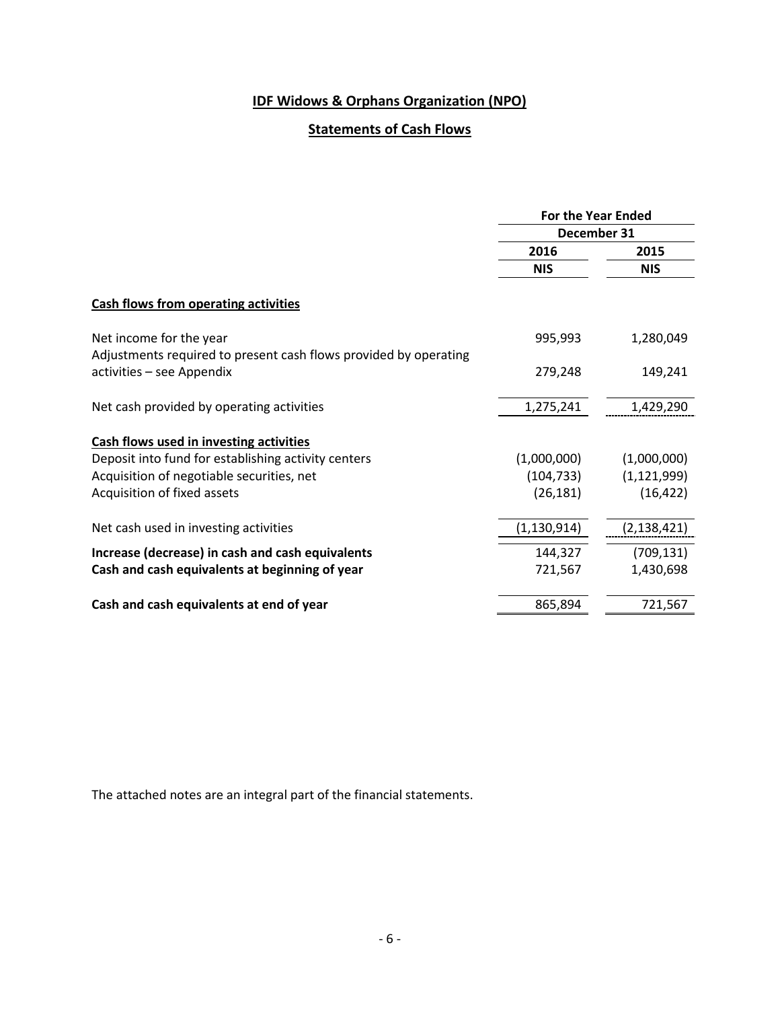# **Statements of Cash Flows**

|                                                                  | <b>For the Year Ended</b><br>December 31 |               |
|------------------------------------------------------------------|------------------------------------------|---------------|
|                                                                  |                                          |               |
|                                                                  | 2016                                     | 2015          |
|                                                                  | <b>NIS</b>                               | <b>NIS</b>    |
| <b>Cash flows from operating activities</b>                      |                                          |               |
| Net income for the year                                          | 995,993                                  | 1,280,049     |
| Adjustments required to present cash flows provided by operating |                                          |               |
| activities - see Appendix                                        | 279,248                                  | 149,241       |
| Net cash provided by operating activities                        | 1,275,241                                | 1,429,290     |
| Cash flows used in investing activities                          |                                          |               |
| Deposit into fund for establishing activity centers              | (1,000,000)                              | (1,000,000)   |
| Acquisition of negotiable securities, net                        | (104, 733)                               | (1, 121, 999) |
| Acquisition of fixed assets                                      | (26, 181)                                | (16, 422)     |
| Net cash used in investing activities                            | (1,130,914)                              | (2,138,421)   |
| Increase (decrease) in cash and cash equivalents                 | 144,327                                  | (709, 131)    |
| Cash and cash equivalents at beginning of year                   | 721,567                                  | 1,430,698     |
|                                                                  |                                          |               |
| Cash and cash equivalents at end of year                         | 865,894                                  | 721,567       |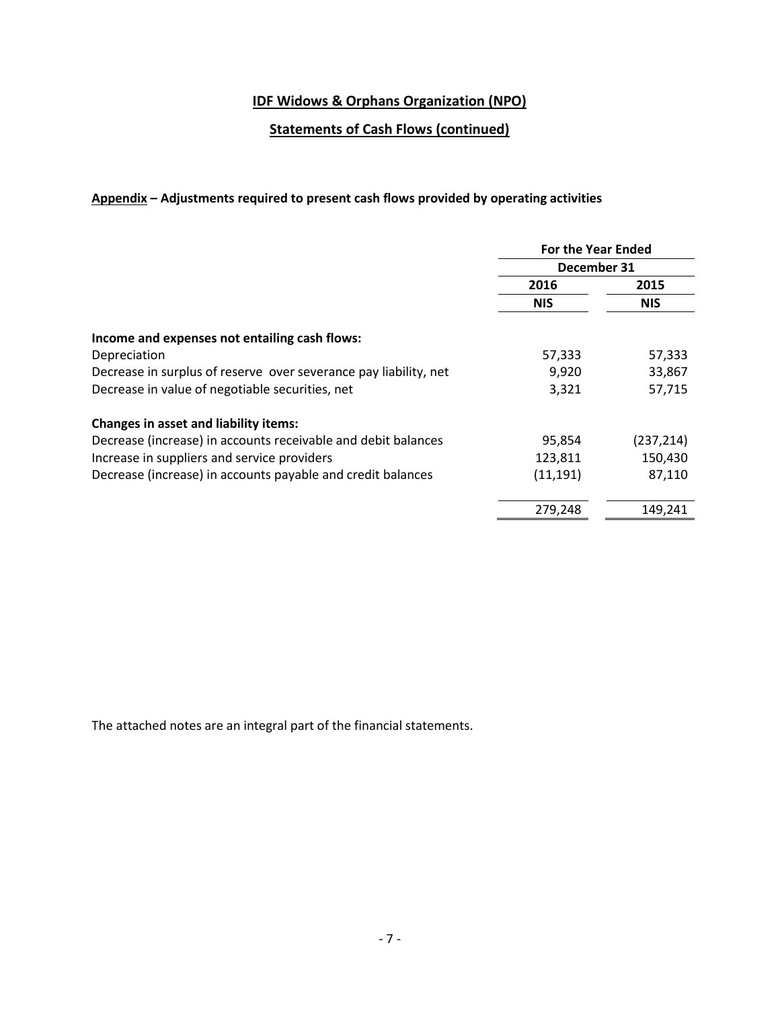# **Statements of Cash Flows (continued)**

### **Appendix – Adjustments required to present cash flows provided by operating activities**

|                                                                  | <b>For the Year Ended</b> |            |  |
|------------------------------------------------------------------|---------------------------|------------|--|
|                                                                  | December 31               |            |  |
|                                                                  | 2016                      | 2015       |  |
|                                                                  | <b>NIS</b>                | <b>NIS</b> |  |
| Income and expenses not entailing cash flows:                    |                           |            |  |
| Depreciation                                                     | 57,333                    | 57,333     |  |
| Decrease in surplus of reserve over severance pay liability, net | 9,920                     | 33,867     |  |
| Decrease in value of negotiable securities, net                  | 3,321                     | 57,715     |  |
| <b>Changes in asset and liability items:</b>                     |                           |            |  |
| Decrease (increase) in accounts receivable and debit balances    | 95,854                    | (237, 214) |  |
| Increase in suppliers and service providers                      | 123,811                   | 150,430    |  |
| Decrease (increase) in accounts payable and credit balances      | (11, 191)                 | 87,110     |  |
|                                                                  | 279,248                   | 149,241    |  |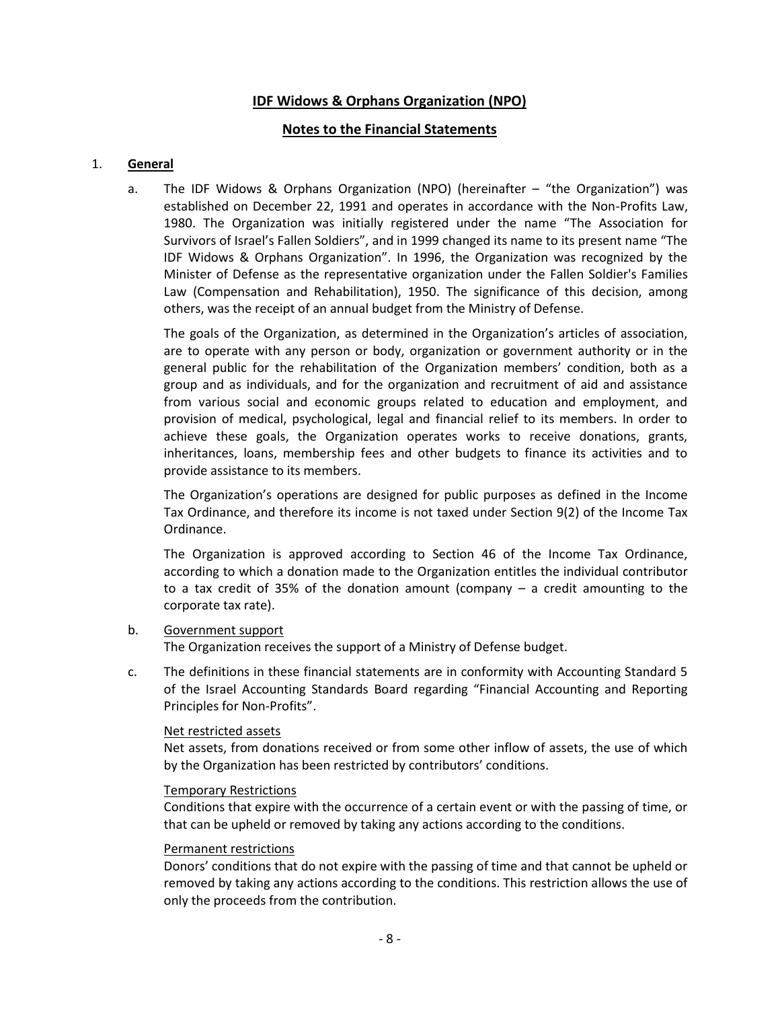### **Notes to the Financial Statements**

#### 1. **General**

a. The IDF Widows & Orphans Organization (NPO) (hereinafter – "the Organization") was established on December 22, 1991 and operates in accordance with the Non-Profits Law, 1980. The Organization was initially registered under the name "The Association for Survivors of Israel's Fallen Soldiers", and in 1999 changed its name to its present name "The IDF Widows & Orphans Organization". In 1996, the Organization was recognized by the Minister of Defense as the representative organization under the Fallen Soldier's Families Law (Compensation and Rehabilitation), 1950. The significance of this decision, among others, was the receipt of an annual budget from the Ministry of Defense.

The goals of the Organization, as determined in the Organization's articles of association, are to operate with any person or body, organization or government authority or in the general public for the rehabilitation of the Organization members' condition, both as a group and as individuals, and for the organization and recruitment of aid and assistance from various social and economic groups related to education and employment, and provision of medical, psychological, legal and financial relief to its members. In order to achieve these goals, the Organization operates works to receive donations, grants, inheritances, loans, membership fees and other budgets to finance its activities and to provide assistance to its members.

The Organization's operations are designed for public purposes as defined in the Income Tax Ordinance, and therefore its income is not taxed under Section 9(2) of the Income Tax Ordinance.

The Organization is approved according to Section 46 of the Income Tax Ordinance, according to which a donation made to the Organization entitles the individual contributor to a tax credit of 35% of the donation amount (company – a credit amounting to the corporate tax rate).

#### b. Government support

The Organization receives the support of a Ministry of Defense budget.

c. The definitions in these financial statements are in conformity with Accounting Standard 5 of the Israel Accounting Standards Board regarding "Financial Accounting and Reporting Principles for Non-Profits".

#### Net restricted assets

Net assets, from donations received or from some other inflow of assets, the use of which by the Organization has been restricted by contributors' conditions.

#### Temporary Restrictions

Conditions that expire with the occurrence of a certain event or with the passing of time, or that can be upheld or removed by taking any actions according to the conditions.

#### Permanent restrictions

Donors' conditions that do not expire with the passing of time and that cannot be upheld or removed by taking any actions according to the conditions. This restriction allows the use of only the proceeds from the contribution.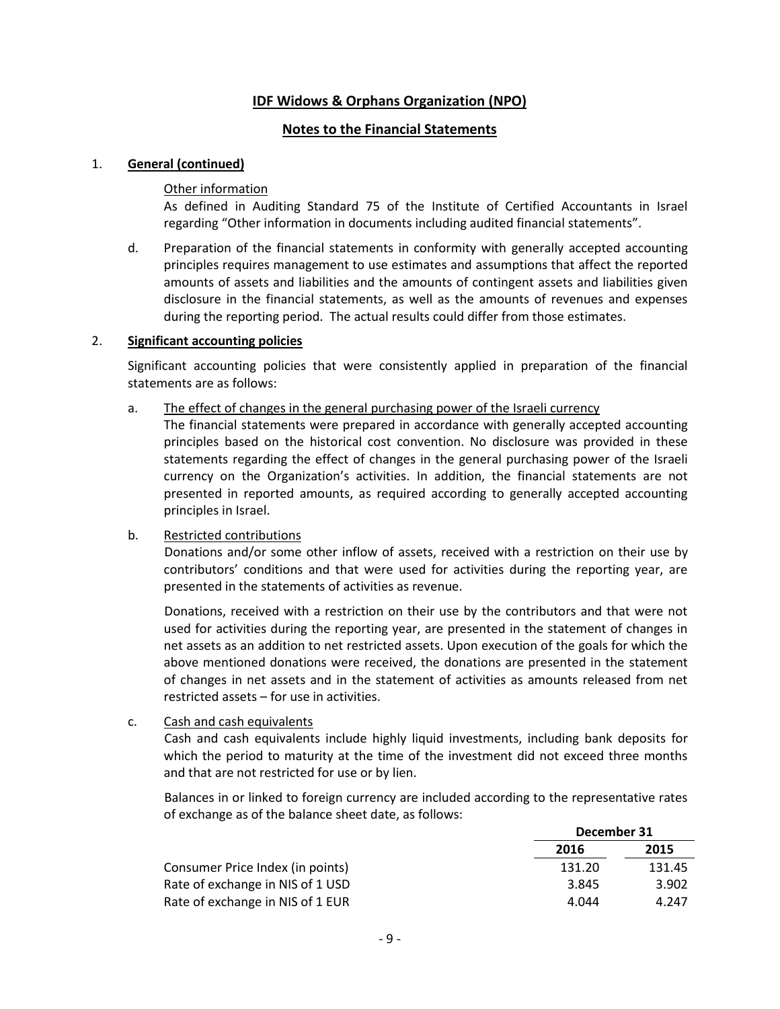### **Notes to the Financial Statements**

#### 1. **General (continued)**

#### Other information

As defined in Auditing Standard 75 of the Institute of Certified Accountants in Israel regarding "Other information in documents including audited financial statements".

d. Preparation of the financial statements in conformity with generally accepted accounting principles requires management to use estimates and assumptions that affect the reported amounts of assets and liabilities and the amounts of contingent assets and liabilities given disclosure in the financial statements, as well as the amounts of revenues and expenses during the reporting period. The actual results could differ from those estimates.

#### 2. **Significant accounting policies**

Significant accounting policies that were consistently applied in preparation of the financial statements are as follows:

#### a. The effect of changes in the general purchasing power of the Israeli currency

The financial statements were prepared in accordance with generally accepted accounting principles based on the historical cost convention. No disclosure was provided in these statements regarding the effect of changes in the general purchasing power of the Israeli currency on the Organization's activities. In addition, the financial statements are not presented in reported amounts, as required according to generally accepted accounting principles in Israel.

#### b. Restricted contributions

Donations and/or some other inflow of assets, received with a restriction on their use by contributors' conditions and that were used for activities during the reporting year, are presented in the statements of activities as revenue.

Donations, received with a restriction on their use by the contributors and that were not used for activities during the reporting year, are presented in the statement of changes in net assets as an addition to net restricted assets. Upon execution of the goals for which the above mentioned donations were received, the donations are presented in the statement of changes in net assets and in the statement of activities as amounts released from net restricted assets – for use in activities.

#### c. Cash and cash equivalents

Cash and cash equivalents include highly liquid investments, including bank deposits for which the period to maturity at the time of the investment did not exceed three months and that are not restricted for use or by lien.

Balances in or linked to foreign currency are included according to the representative rates of exchange as of the balance sheet date, as follows:

|                                  | December 31 |        |
|----------------------------------|-------------|--------|
|                                  | 2016        | 2015   |
| Consumer Price Index (in points) | 131.20      | 131.45 |
| Rate of exchange in NIS of 1 USD | 3.845       | 3.902  |
| Rate of exchange in NIS of 1 EUR | 4.044       | 4.247  |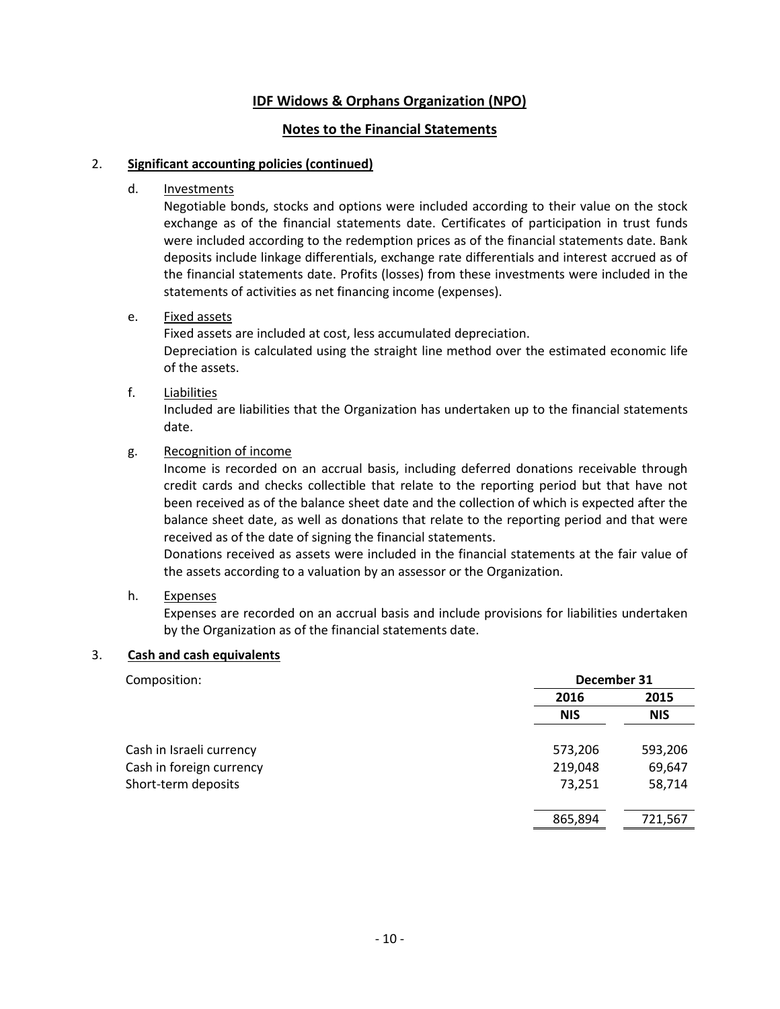### **Notes to the Financial Statements**

#### 2. **Significant accounting policies (continued)**

#### d. **Investments**

Negotiable bonds, stocks and options were included according to their value on the stock exchange as of the financial statements date. Certificates of participation in trust funds were included according to the redemption prices as of the financial statements date. Bank deposits include linkage differentials, exchange rate differentials and interest accrued as of the financial statements date. Profits (losses) from these investments were included in the statements of activities as net financing income (expenses).

#### e. Fixed assets

Fixed assets are included at cost, less accumulated depreciation. Depreciation is calculated using the straight line method over the estimated economic life of the assets.

#### f. Liabilities

Included are liabilities that the Organization has undertaken up to the financial statements date.

#### g. Recognition of income

Income is recorded on an accrual basis, including deferred donations receivable through credit cards and checks collectible that relate to the reporting period but that have not been received as of the balance sheet date and the collection of which is expected after the balance sheet date, as well as donations that relate to the reporting period and that were received as of the date of signing the financial statements.

Donations received as assets were included in the financial statements at the fair value of the assets according to a valuation by an assessor or the Organization.

### h. Expenses

Expenses are recorded on an accrual basis and include provisions for liabilities undertaken by the Organization as of the financial statements date.

### 3. **Cash and cash equivalents**

| December 31 |            |  |
|-------------|------------|--|
| 2016        | 2015       |  |
| <b>NIS</b>  | <b>NIS</b> |  |
| 573,206     | 593,206    |  |
| 219,048     | 69,647     |  |
| 73,251      | 58,714     |  |
| 865,894     | 721,567    |  |
|             |            |  |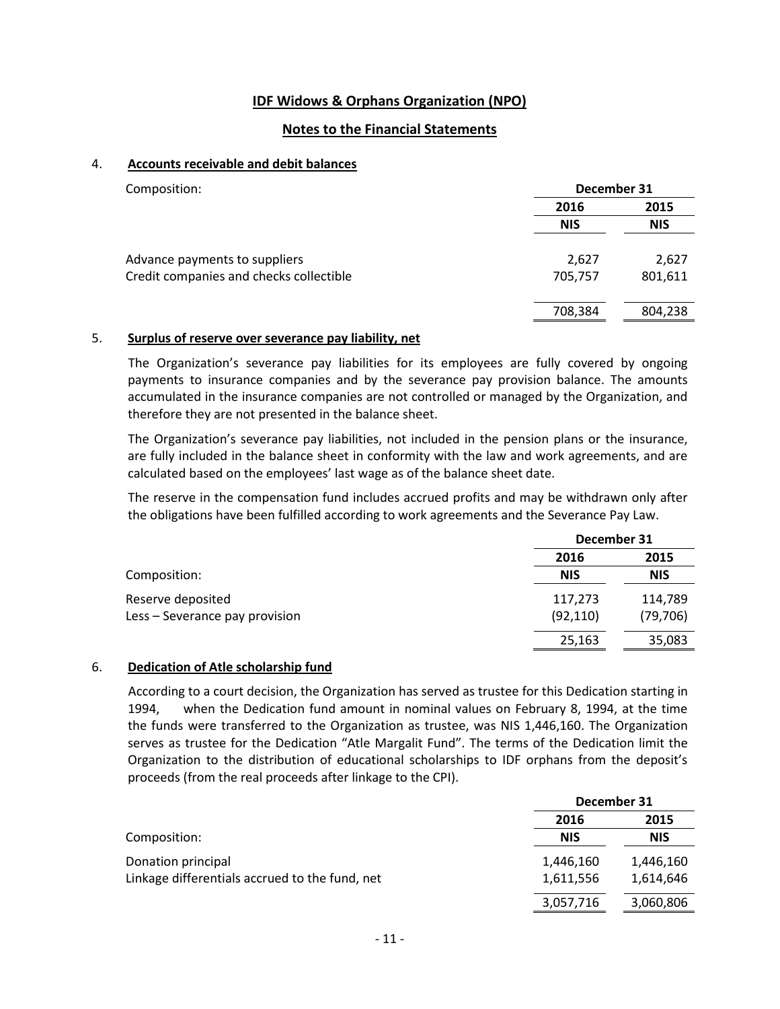### **Notes to the Financial Statements**

#### 4. **Accounts receivable and debit balances**

| Composition:                            | December 31 |            |
|-----------------------------------------|-------------|------------|
|                                         | 2016        | 2015       |
|                                         | <b>NIS</b>  | <b>NIS</b> |
| Advance payments to suppliers           | 2,627       | 2,627      |
| Credit companies and checks collectible | 705,757     | 801,611    |
|                                         | 708,384     | 804,238    |

#### 5. **Surplus of reserve over severance pay liability, net**

The Organization's severance pay liabilities for its employees are fully covered by ongoing payments to insurance companies and by the severance pay provision balance. The amounts accumulated in the insurance companies are not controlled or managed by the Organization, and therefore they are not presented in the balance sheet.

The Organization's severance pay liabilities, not included in the pension plans or the insurance, are fully included in the balance sheet in conformity with the law and work agreements, and are calculated based on the employees' last wage as of the balance sheet date.

The reserve in the compensation fund includes accrued profits and may be withdrawn only after the obligations have been fulfilled according to work agreements and the Severance Pay Law.

|                                | December 31 |            |
|--------------------------------|-------------|------------|
|                                | 2016        | 2015       |
| Composition:                   | <b>NIS</b>  | <b>NIS</b> |
| Reserve deposited              | 117,273     | 114,789    |
| Less - Severance pay provision | (92, 110)   | (79, 706)  |
|                                | 25,163      | 35,083     |

#### 6. **Dedication of Atle scholarship fund**

According to a court decision, the Organization has served as trustee for this Dedication starting in 1994, when the Dedication fund amount in nominal values on February 8, 1994, at the time the funds were transferred to the Organization as trustee, was NIS 1,446,160. The Organization serves as trustee for the Dedication "Atle Margalit Fund". The terms of the Dedication limit the Organization to the distribution of educational scholarships to IDF orphans from the deposit's proceeds (from the real proceeds after linkage to the CPI).

|                                                | December 31 |            |
|------------------------------------------------|-------------|------------|
|                                                | 2016        | 2015       |
| Composition:                                   | <b>NIS</b>  | <b>NIS</b> |
| Donation principal                             | 1,446,160   | 1,446,160  |
| Linkage differentials accrued to the fund, net | 1,611,556   | 1,614,646  |
|                                                | 3,057,716   | 3,060,806  |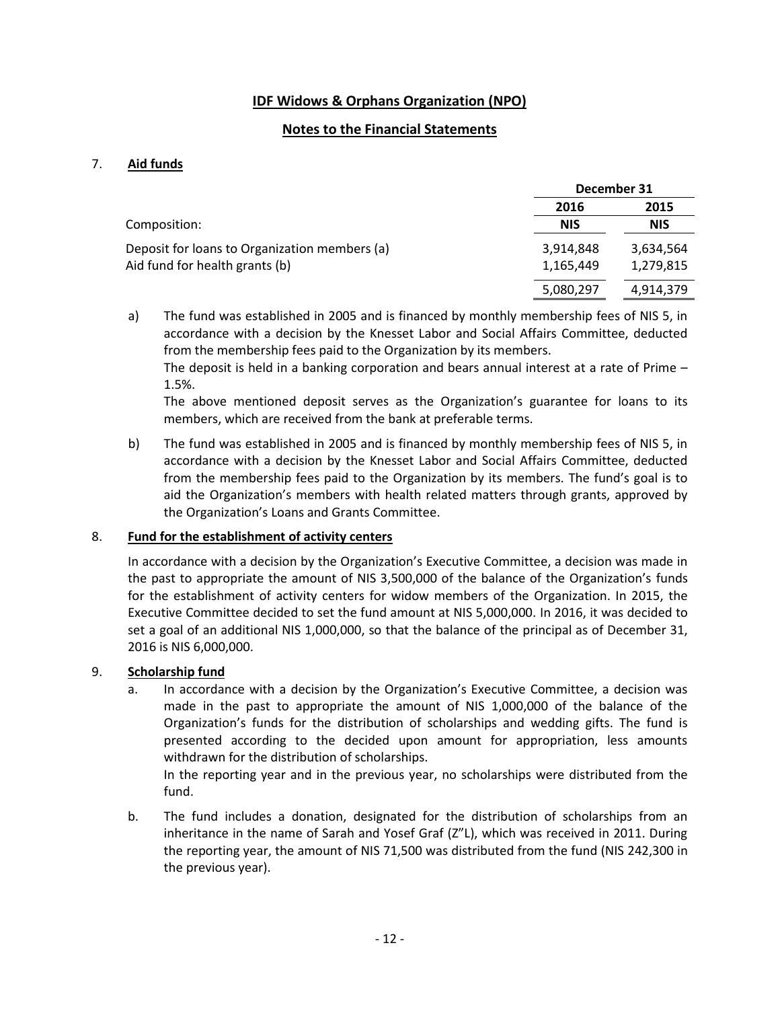### **Notes to the Financial Statements**

#### 7. **Aid funds**

|                                               | December 31 |            |
|-----------------------------------------------|-------------|------------|
|                                               | 2016        | 2015       |
| Composition:                                  | <b>NIS</b>  | <b>NIS</b> |
| Deposit for loans to Organization members (a) | 3,914,848   | 3,634,564  |
| Aid fund for health grants (b)                | 1,165,449   | 1,279,815  |
|                                               | 5,080,297   | 4,914,379  |

a) The fund was established in 2005 and is financed by monthly membership fees of NIS 5, in accordance with a decision by the Knesset Labor and Social Affairs Committee, deducted from the membership fees paid to the Organization by its members.

The deposit is held in a banking corporation and bears annual interest at a rate of Prime – 1.5%.

The above mentioned deposit serves as the Organization's guarantee for loans to its members, which are received from the bank at preferable terms.

b) The fund was established in 2005 and is financed by monthly membership fees of NIS 5, in accordance with a decision by the Knesset Labor and Social Affairs Committee, deducted from the membership fees paid to the Organization by its members. The fund's goal is to aid the Organization's members with health related matters through grants, approved by the Organization's Loans and Grants Committee.

#### 8. **Fund for the establishment of activity centers**

In accordance with a decision by the Organization's Executive Committee, a decision was made in the past to appropriate the amount of NIS 3,500,000 of the balance of the Organization's funds for the establishment of activity centers for widow members of the Organization. In 2015, the Executive Committee decided to set the fund amount at NIS 5,000,000. In 2016, it was decided to set a goal of an additional NIS 1,000,000, so that the balance of the principal as of December 31, 2016 is NIS 6,000,000.

### 9. **Scholarship fund**

In accordance with a decision by the Organization's Executive Committee, a decision was made in the past to appropriate the amount of NIS 1,000,000 of the balance of the Organization's funds for the distribution of scholarships and wedding gifts. The fund is presented according to the decided upon amount for appropriation, less amounts withdrawn for the distribution of scholarships.

In the reporting year and in the previous year, no scholarships were distributed from the fund.

b. The fund includes a donation, designated for the distribution of scholarships from an inheritance in the name of Sarah and Yosef Graf (Z"L), which was received in 2011. During the reporting year, the amount of NIS 71,500 was distributed from the fund (NIS 242,300 in the previous year).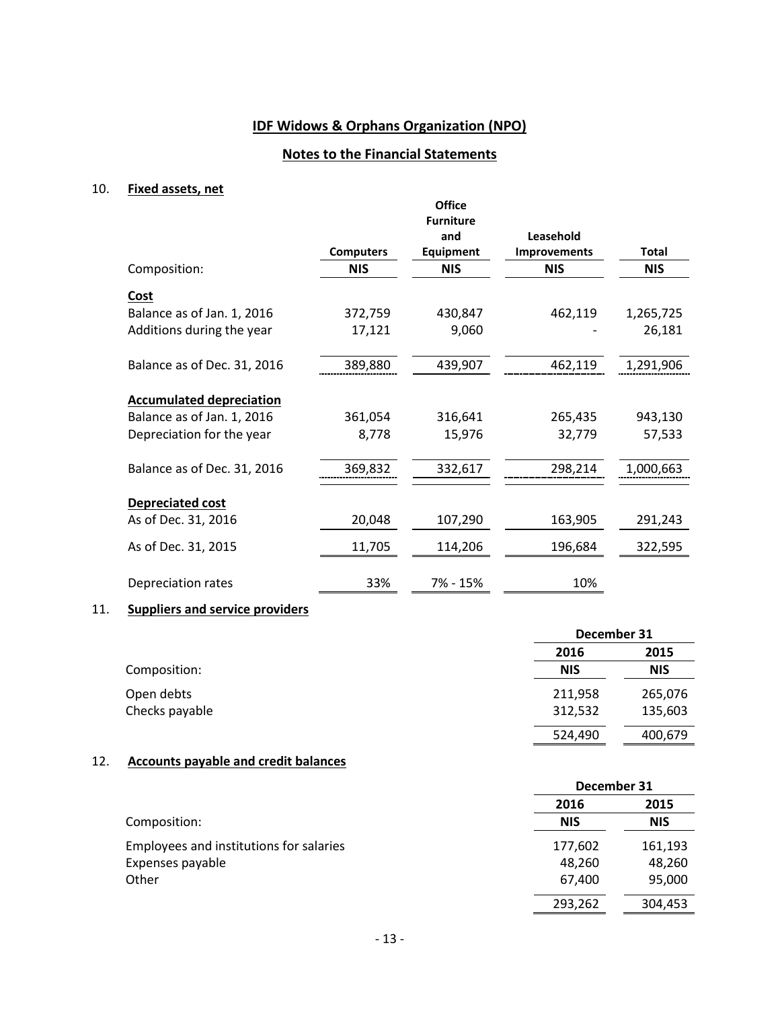# **Notes to the Financial Statements**

#### 10. **Fixed assets, net**

|                                 |                  | <b>Office</b><br><b>Furniture</b> |                     |              |
|---------------------------------|------------------|-----------------------------------|---------------------|--------------|
|                                 |                  | and                               | Leasehold           |              |
|                                 | <b>Computers</b> | <b>Equipment</b>                  | <b>Improvements</b> | <b>Total</b> |
| Composition:                    | <b>NIS</b>       | <b>NIS</b>                        | <b>NIS</b>          | <b>NIS</b>   |
| Cost                            |                  |                                   |                     |              |
| Balance as of Jan. 1, 2016      | 372,759          | 430,847                           | 462,119             | 1,265,725    |
| Additions during the year       | 17,121           | 9,060                             |                     | 26,181       |
| Balance as of Dec. 31, 2016     | 389,880          | 439,907                           | 462,119             | 1,291,906    |
|                                 |                  |                                   |                     |              |
| <b>Accumulated depreciation</b> |                  |                                   |                     |              |
| Balance as of Jan. 1, 2016      | 361,054          | 316,641                           | 265,435             | 943,130      |
| Depreciation for the year       | 8,778            | 15,976                            | 32,779              | 57,533       |
| Balance as of Dec. 31, 2016     | 369,832          | 332,617                           | 298,214             | 1,000,663    |
|                                 |                  |                                   |                     |              |
| <b>Depreciated cost</b>         |                  |                                   |                     |              |
| As of Dec. 31, 2016             | 20,048           | 107,290                           | 163,905             | 291,243      |
| As of Dec. 31, 2015             | 11,705           | 114,206                           | 196,684             | 322,595      |
| Depreciation rates              | 33%              | 7% - 15%                          | 10%                 |              |

### 11. **Suppliers and service providers**

|                |            | December 31 |  |
|----------------|------------|-------------|--|
|                | 2016       | 2015        |  |
| Composition:   | <b>NIS</b> | <b>NIS</b>  |  |
| Open debts     | 211,958    | 265,076     |  |
| Checks payable | 312,532    | 135,603     |  |
|                | 524,490    | 400,679     |  |

#### 12. **Accounts payable and credit balances**

|                                         |            | December 31 |  |
|-----------------------------------------|------------|-------------|--|
|                                         | 2016       | 2015        |  |
| Composition:                            | <b>NIS</b> | <b>NIS</b>  |  |
| Employees and institutions for salaries | 177,602    | 161,193     |  |
| Expenses payable                        | 48,260     | 48,260      |  |
| Other                                   | 67,400     | 95,000      |  |
|                                         | 293,262    | 304,453     |  |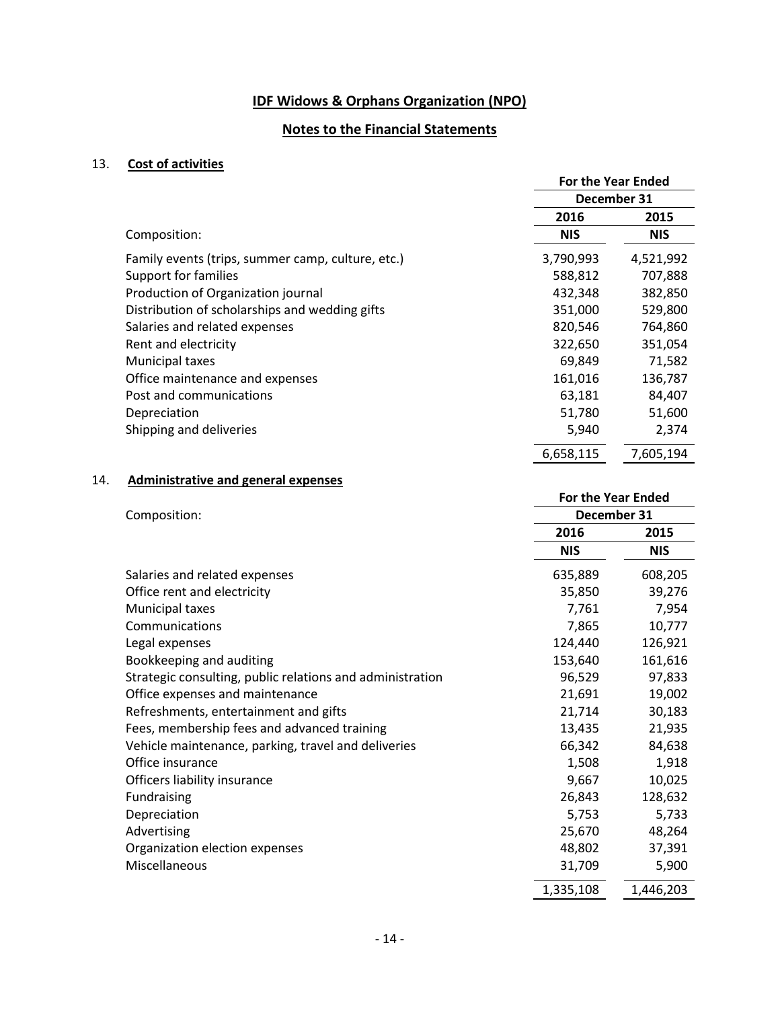#### **Notes to the Financial Statements**

#### 13. **Cost of activities**

|                                                   | <b>For the Year Ended</b> |            |
|---------------------------------------------------|---------------------------|------------|
|                                                   | December 31               |            |
|                                                   | 2016                      | 2015       |
| Composition:                                      | <b>NIS</b>                | <b>NIS</b> |
| Family events (trips, summer camp, culture, etc.) | 3,790,993                 | 4,521,992  |
| <b>Support for families</b>                       | 588,812                   | 707,888    |
| Production of Organization journal                | 432,348                   | 382,850    |
| Distribution of scholarships and wedding gifts    | 351,000                   | 529,800    |
| Salaries and related expenses                     | 820,546                   | 764,860    |
| Rent and electricity                              | 322,650                   | 351,054    |
| Municipal taxes                                   | 69,849                    | 71,582     |
| Office maintenance and expenses                   | 161,016                   | 136,787    |
| Post and communications                           | 63,181                    | 84,407     |
| Depreciation                                      | 51,780                    | 51,600     |
| Shipping and deliveries                           | 5,940                     | 2,374      |
|                                                   | 6,658,115                 | 7,605,194  |

#### 14. **Administrative and general expenses**

## **For the Year Ended** Composition: **December 31 2016 2015 NIS NIS** Salaries and related expenses 635,889 608,205 Office rent and electricity and  $\overline{35,850}$  39,276 Municipal taxes 7,761 7,954 Communications 7,865 10,777 Legal expenses 124,440 126,921 Bookkeeping and auditing 153,640 161,616 Strategic consulting, public relations and administration 96,529 97,833 Office expenses and maintenance 21,691 19,002 Refreshments, entertainment and gifts 21,714 30,183 Fees, membership fees and advanced training 13,435 21,935 Vehicle maintenance, parking, travel and deliveries 66,342 84,638 Office insurance 1,508 1,918 Officers liability insurance and the set of the set of the set of the set of the set of the set of the set of the set of the set of the set of the set of the set of the set of the set of the set of the set of the set of th Fundraising 26,843 128,632 Depreciation 5,753 5,733 Advertising 25,670 48,264 Organization election expenses and the set of the 48,802 37,391 Miscellaneous 31,709 5,900 1,335,108 1,446,203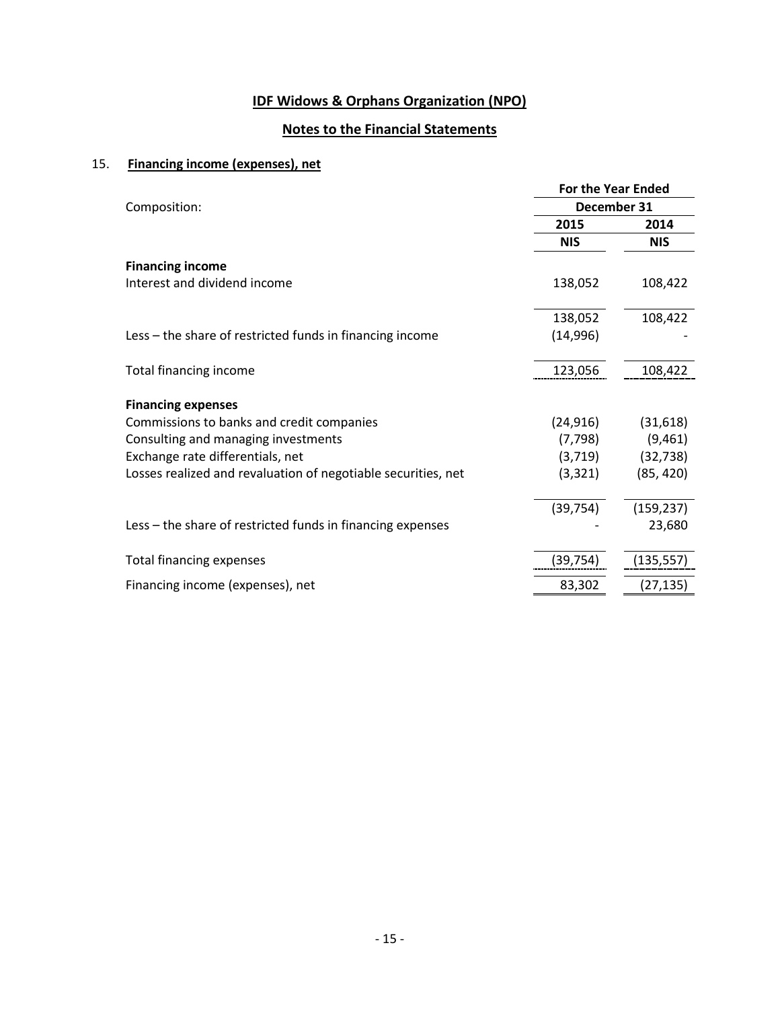# **Notes to the Financial Statements**

# 15. **Financing income (expenses), net**

|                                                               | <b>For the Year Ended</b> |            |  |
|---------------------------------------------------------------|---------------------------|------------|--|
| Composition:                                                  | December 31               |            |  |
|                                                               | 2015                      | 2014       |  |
|                                                               | <b>NIS</b>                | <b>NIS</b> |  |
| <b>Financing income</b>                                       |                           |            |  |
| Interest and dividend income                                  | 138,052                   | 108,422    |  |
|                                                               | 138,052                   | 108,422    |  |
| Less – the share of restricted funds in financing income      | (14,996)                  |            |  |
| Total financing income                                        | 123,056                   | 108,422    |  |
| <b>Financing expenses</b>                                     |                           |            |  |
| Commissions to banks and credit companies                     | (24, 916)                 | (31,618)   |  |
| Consulting and managing investments                           | (7, 798)                  | (9,461)    |  |
| Exchange rate differentials, net                              | (3,719)                   | (32, 738)  |  |
| Losses realized and revaluation of negotiable securities, net | (3, 321)                  | (85, 420)  |  |
|                                                               | (39, 754)                 | (159, 237) |  |
| Less – the share of restricted funds in financing expenses    |                           | 23,680     |  |
| <b>Total financing expenses</b>                               | (39,754)                  | (135, 557) |  |
| Financing income (expenses), net                              | 83,302                    | (27,135)   |  |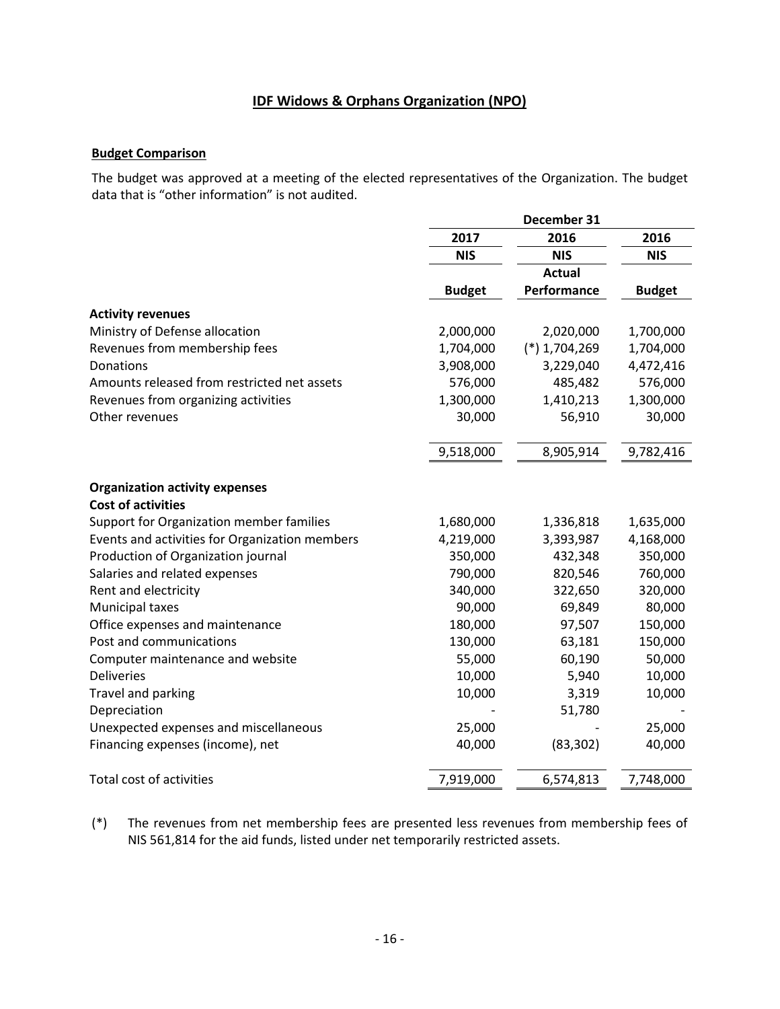#### **Budget Comparison**

The budget was approved at a meeting of the elected representatives of the Organization. The budget data that is "other information" is not audited.

|                                                | December 31   |                |               |
|------------------------------------------------|---------------|----------------|---------------|
|                                                | 2017          | 2016           | 2016          |
|                                                | <b>NIS</b>    | <b>NIS</b>     | <b>NIS</b>    |
|                                                |               | <b>Actual</b>  |               |
|                                                | <b>Budget</b> | Performance    | <b>Budget</b> |
| <b>Activity revenues</b>                       |               |                |               |
| Ministry of Defense allocation                 | 2,000,000     | 2,020,000      | 1,700,000     |
| Revenues from membership fees                  | 1,704,000     | $(*)1,704,269$ | 1,704,000     |
| Donations                                      | 3,908,000     | 3,229,040      | 4,472,416     |
| Amounts released from restricted net assets    | 576,000       | 485,482        | 576,000       |
| Revenues from organizing activities            | 1,300,000     | 1,410,213      | 1,300,000     |
| Other revenues                                 | 30,000        | 56,910         | 30,000        |
|                                                | 9,518,000     | 8,905,914      | 9,782,416     |
| <b>Organization activity expenses</b>          |               |                |               |
| <b>Cost of activities</b>                      |               |                |               |
| Support for Organization member families       | 1,680,000     | 1,336,818      | 1,635,000     |
| Events and activities for Organization members | 4,219,000     | 3,393,987      | 4,168,000     |
| Production of Organization journal             | 350,000       | 432,348        | 350,000       |
| Salaries and related expenses                  | 790,000       | 820,546        | 760,000       |
| Rent and electricity                           | 340,000       | 322,650        | 320,000       |
| Municipal taxes                                | 90,000        | 69,849         | 80,000        |
| Office expenses and maintenance                | 180,000       | 97,507         | 150,000       |
| Post and communications                        | 130,000       | 63,181         | 150,000       |
| Computer maintenance and website               | 55,000        | 60,190         | 50,000        |
| <b>Deliveries</b>                              | 10,000        | 5,940          | 10,000        |
| Travel and parking                             | 10,000        | 3,319          | 10,000        |
| Depreciation                                   |               | 51,780         |               |
| Unexpected expenses and miscellaneous          | 25,000        |                | 25,000        |
| Financing expenses (income), net               | 40,000        | (83, 302)      | 40,000        |
| <b>Total cost of activities</b>                | 7,919,000     | 6,574,813      | 7,748,000     |

(\*) The revenues from net membership fees are presented less revenues from membership fees of NIS 561,814 for the aid funds, listed under net temporarily restricted assets.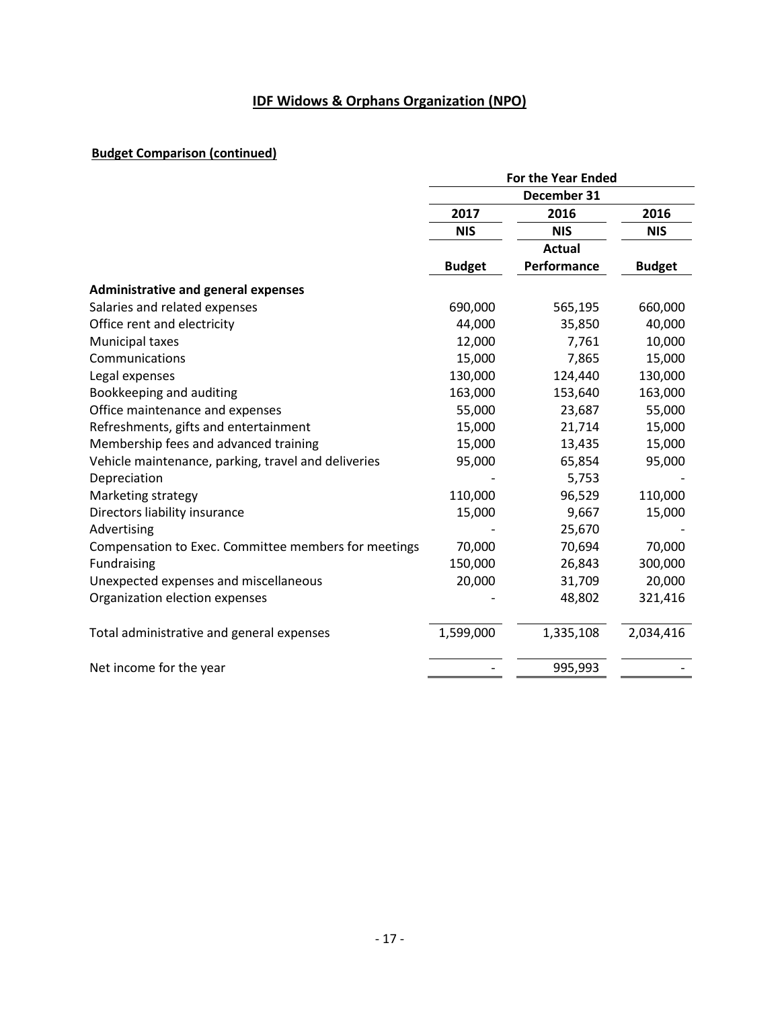### **Budget Comparison (continued)**

|                                                      | <b>For the Year Ended</b> |               |               |
|------------------------------------------------------|---------------------------|---------------|---------------|
|                                                      | December 31               |               |               |
|                                                      | 2017                      | 2016          | 2016          |
|                                                      | <b>NIS</b>                | <b>NIS</b>    | <b>NIS</b>    |
|                                                      |                           | <b>Actual</b> |               |
|                                                      | <b>Budget</b>             | Performance   | <b>Budget</b> |
| <b>Administrative and general expenses</b>           |                           |               |               |
| Salaries and related expenses                        | 690,000                   | 565,195       | 660,000       |
| Office rent and electricity                          | 44,000                    | 35,850        | 40,000        |
| Municipal taxes                                      | 12,000                    | 7,761         | 10,000        |
| Communications                                       | 15,000                    | 7,865         | 15,000        |
| Legal expenses                                       | 130,000                   | 124,440       | 130,000       |
| Bookkeeping and auditing                             | 163,000                   | 153,640       | 163,000       |
| Office maintenance and expenses                      | 55,000                    | 23,687        | 55,000        |
| Refreshments, gifts and entertainment                | 15,000                    | 21,714        | 15,000        |
| Membership fees and advanced training                | 15,000                    | 13,435        | 15,000        |
| Vehicle maintenance, parking, travel and deliveries  | 95,000                    | 65,854        | 95,000        |
| Depreciation                                         |                           | 5,753         |               |
| Marketing strategy                                   | 110,000                   | 96,529        | 110,000       |
| Directors liability insurance                        | 15,000                    | 9,667         | 15,000        |
| Advertising                                          |                           | 25,670        |               |
| Compensation to Exec. Committee members for meetings | 70,000                    | 70,694        | 70,000        |
| Fundraising                                          | 150,000                   | 26,843        | 300,000       |
| Unexpected expenses and miscellaneous                | 20,000                    | 31,709        | 20,000        |
| Organization election expenses                       |                           | 48,802        | 321,416       |
| Total administrative and general expenses            | 1,599,000                 | 1,335,108     | 2,034,416     |
| Net income for the year                              |                           | 995,993       |               |